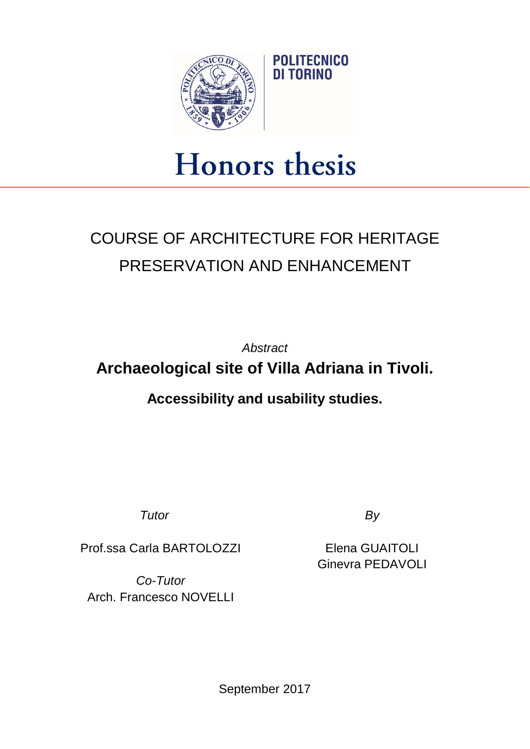

## Honors thesis

## COURSE OF ARCHITECTURE FOR HERITAGE PRESERVATION AND ENHANCEMENT

*Abstract* **Archaeological site of Villa Adriana in Tivoli.**

**Accessibility and usability studies.**

*Tutor By*

Prof.ssa Carla BARTOLOZZI

*Co-Tutor* Arch. Francesco NOVELLI

Elena GUAITOLI Ginevra PEDAVOLI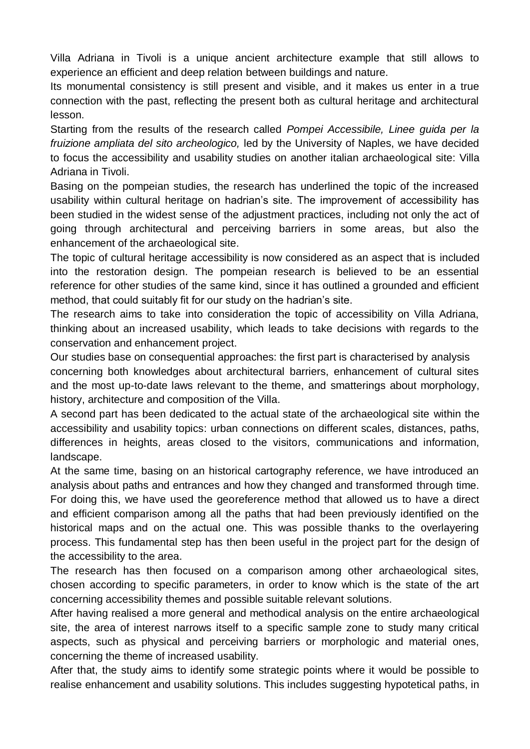Villa Adriana in Tivoli is a unique ancient architecture example that still allows to experience an efficient and deep relation between buildings and nature.

Its monumental consistency is still present and visible, and it makes us enter in a true connection with the past, reflecting the present both as cultural heritage and architectural lesson.

Starting from the results of the research called *Pompei Accessibile, Linee guida per la fruizione ampliata del sito archeologico,* led by the University of Naples, we have decided to focus the accessibility and usability studies on another italian archaeological site: Villa Adriana in Tivoli.

Basing on the pompeian studies, the research has underlined the topic of the increased usability within cultural heritage on hadrian's site. The improvement of accessibility has been studied in the widest sense of the adjustment practices, including not only the act of going through architectural and perceiving barriers in some areas, but also the enhancement of the archaeological site.

The topic of cultural heritage accessibility is now considered as an aspect that is included into the restoration design. The pompeian research is believed to be an essential reference for other studies of the same kind, since it has outlined a grounded and efficient method, that could suitably fit for our study on the hadrian's site.

The research aims to take into consideration the topic of accessibility on Villa Adriana, thinking about an increased usability, which leads to take decisions with regards to the conservation and enhancement project.

Our studies base on consequential approaches: the first part is characterised by analysis concerning both knowledges about architectural barriers, enhancement of cultural sites and the most up-to-date laws relevant to the theme, and smatterings about morphology, history, architecture and composition of the Villa.

A second part has been dedicated to the actual state of the archaeological site within the accessibility and usability topics: urban connections on different scales, distances, paths, differences in heights, areas closed to the visitors, communications and information, landscape.

At the same time, basing on an historical cartography reference, we have introduced an analysis about paths and entrances and how they changed and transformed through time. For doing this, we have used the georeference method that allowed us to have a direct and efficient comparison among all the paths that had been previously identified on the historical maps and on the actual one. This was possible thanks to the overlayering process. This fundamental step has then been useful in the project part for the design of the accessibility to the area.

The research has then focused on a comparison among other archaeological sites, chosen according to specific parameters, in order to know which is the state of the art concerning accessibility themes and possible suitable relevant solutions.

After having realised a more general and methodical analysis on the entire archaeological site, the area of interest narrows itself to a specific sample zone to study many critical aspects, such as physical and perceiving barriers or morphologic and material ones, concerning the theme of increased usability.

After that, the study aims to identify some strategic points where it would be possible to realise enhancement and usability solutions. This includes suggesting hypotetical paths, in